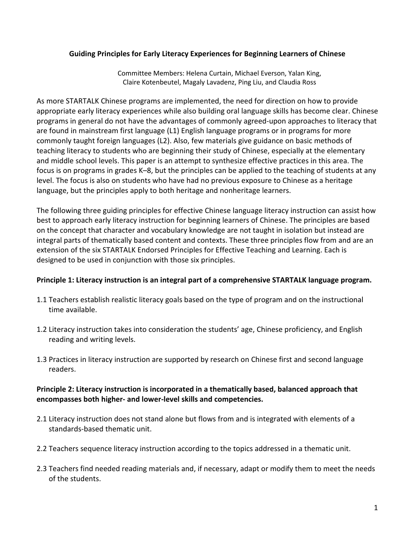#### Guiding Principles for Early Literacy Experiences for Beginning Learners of Chinese

Committee Members: Helena Curtain, Michael Everson, Yalan King, Claire Kotenbeutel, Magaly Lavadenz, Ping Liu, and Claudia Ross

As more STARTALK Chinese programs are implemented, the need for direction on how to provide appropriate early literacy experiences while also building oral language skills has become clear. Chinese programs in general do not have the advantages of commonly agreed-upon approaches to literacy that are found in mainstream first language (L1) English language programs or in programs for more commonly taught foreign languages (L2). Also, few materials give guidance on basic methods of teaching literacy to students who are beginning their study of Chinese, especially at the elementary and middle school levels. This paper is an attempt to synthesize effective practices in this area. The focus is on programs in grades K–8, but the principles can be applied to the teaching of students at any level. The focus is also on students who have had no previous exposure to Chinese as a heritage language, but the principles apply to both heritage and nonheritage learners.

The following three guiding principles for effective Chinese language literacy instruction can assist how best to approach early literacy instruction for beginning learners of Chinese. The principles are based on the concept that character and vocabulary knowledge are not taught in isolation but instead are integral parts of thematically based content and contexts. These three principles flow from and are an extension of the six STARTALK Endorsed Principles for Effective Teaching and Learning. Each is designed to be used in conjunction with those six principles.

#### Principle 1: Literacy instruction is an integral part of a comprehensive STARTALK language program.

- 1.1 Teachers establish realistic literacy goals based on the type of program and on the instructional time available.
- 1.2 Literacy instruction takes into consideration the students' age, Chinese proficiency, and English reading and writing levels.
- 1.3 Practices in literacy instruction are supported by research on Chinese first and second language readers.

### Principle 2: Literacy instruction is incorporated in a thematically based, balanced approach that encompasses both higher- and lower-level skills and competencies.

- 2.1 Literacy instruction does not stand alone but flows from and is integrated with elements of a standards-based thematic unit.
- 2.2 Teachers sequence literacy instruction according to the topics addressed in a thematic unit.
- 2.3 Teachers find needed reading materials and, if necessary, adapt or modify them to meet the needs of the students.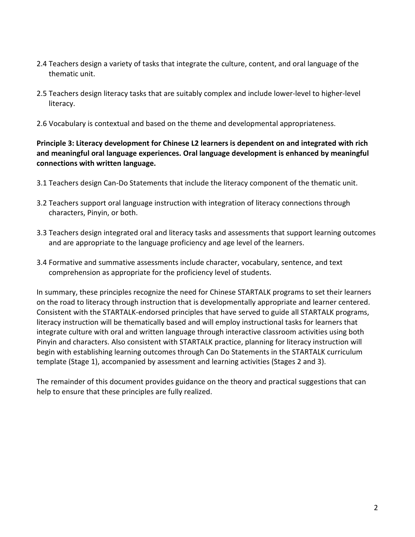- 2.4 Teachers design a variety of tasks that integrate the culture, content, and oral language of the thematic unit.
- 2.5 Teachers design literacy tasks that are suitably complex and include lower-level to higher-level literacy.
- 2.6 Vocabulary is contextual and based on the theme and developmental appropriateness.

Principle 3: Literacy development for Chinese L2 learners is dependent on and integrated with rich and meaningful oral language experiences. Oral language development is enhanced by meaningful connections with written language.

- 3.1 Teachers design Can-Do Statements that include the literacy component of the thematic unit.
- 3.2 Teachers support oral language instruction with integration of literacy connections through characters, Pinyin, or both.
- 3.3 Teachers design integrated oral and literacy tasks and assessments that support learning outcomes and are appropriate to the language proficiency and age level of the learners.
- 3.4 Formative and summative assessments include character, vocabulary, sentence, and text comprehension as appropriate for the proficiency level of students.

In summary, these principles recognize the need for Chinese STARTALK programs to set their learners on the road to literacy through instruction that is developmentally appropriate and learner centered. Consistent with the STARTALK-endorsed principles that have served to guide all STARTALK programs, literacy instruction will be thematically based and will employ instructional tasks for learners that integrate culture with oral and written language through interactive classroom activities using both Pinyin and characters. Also consistent with STARTALK practice, planning for literacy instruction will begin with establishing learning outcomes through Can Do Statements in the STARTALK curriculum template (Stage 1), accompanied by assessment and learning activities (Stages 2 and 3).

The remainder of this document provides guidance on the theory and practical suggestions that can help to ensure that these principles are fully realized.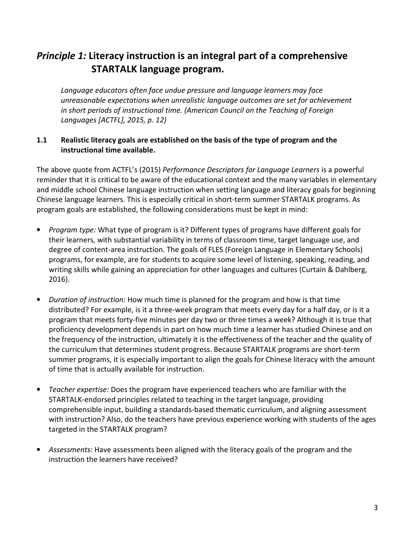# Principle 1: Literacy instruction is an integral part of a comprehensive STARTALK language program.

Language educators often face undue pressure and language learners may face unreasonable expectations when unrealistic language outcomes are set for achievement in short periods of instructional time. (American Council on the Teaching of Foreign Languages [ACTFL], 2015, p. 12)

### 1.1 Realistic literacy goals are established on the basis of the type of program and the instructional time available.

The above quote from ACTFL's (2015) Performance Descriptors for Language Learners is a powerful reminder that it is critical to be aware of the educational context and the many variables in elementary and middle school Chinese language instruction when setting language and literacy goals for beginning Chinese language learners. This is especially critical in short-term summer STARTALK programs. As program goals are established, the following considerations must be kept in mind:

- Program type: What type of program is it? Different types of programs have different goals for their learners, with substantial variability in terms of classroom time, target language use, and degree of content-area instruction. The goals of FLES (Foreign Language in Elementary Schools) programs, for example, are for students to acquire some level of listening, speaking, reading, and writing skills while gaining an appreciation for other languages and cultures (Curtain & Dahlberg, 2016).
- Duration of instruction: How much time is planned for the program and how is that time distributed? For example, is it a three-week program that meets every day for a half day, or is it a program that meets forty-five minutes per day two or three times a week? Although it is true that proficiency development depends in part on how much time a learner has studied Chinese and on the frequency of the instruction, ultimately it is the effectiveness of the teacher and the quality of the curriculum that determines student progress. Because STARTALK programs are short-term summer programs, it is especially important to align the goals for Chinese literacy with the amount of time that is actually available for instruction.
- Teacher expertise: Does the program have experienced teachers who are familiar with the STARTALK-endorsed principles related to teaching in the target language, providing comprehensible input, building a standards-based thematic curriculum, and aligning assessment with instruction? Also, do the teachers have previous experience working with students of the ages targeted in the STARTALK program?
- Assessments: Have assessments been aligned with the literacy goals of the program and the instruction the learners have received?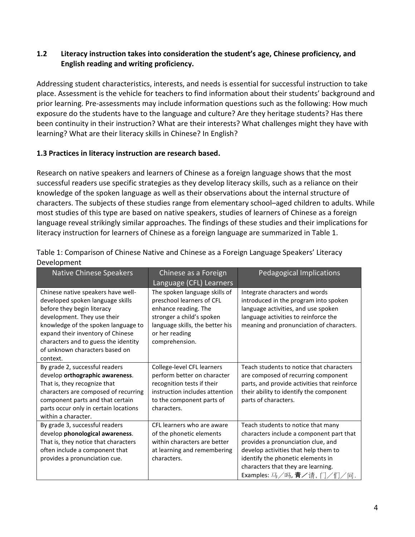### 1.2 Literacy instruction takes into consideration the student's age, Chinese proficiency, and English reading and writing proficiency.

Addressing student characteristics, interests, and needs is essential for successful instruction to take place. Assessment is the vehicle for teachers to find information about their students' background and prior learning. Pre-assessments may include information questions such as the following: How much exposure do the students have to the language and culture? Are they heritage students? Has there been continuity in their instruction? What are their interests? What challenges might they have with learning? What are their literacy skills in Chinese? In English?

#### 1.3 Practices in literacy instruction are research based.

Research on native speakers and learners of Chinese as a foreign language shows that the most successful readers use specific strategies as they develop literacy skills, such as a reliance on their knowledge of the spoken language as well as their observations about the internal structure of characters. The subjects of these studies range from elementary school–aged children to adults. While most studies of this type are based on native speakers, studies of learners of Chinese as a foreign language reveal strikingly similar approaches. The findings of these studies and their implications for literacy instruction for learners of Chinese as a foreign language are summarized in Table 1.

| <b>Native Chinese Speakers</b>                                                                                                                                                                                                                                                                        | Chinese as a Foreign<br>Language (CFL) Learners                                                                                                                                        | Pedagogical Implications                                                                                                                                                                                                                                              |
|-------------------------------------------------------------------------------------------------------------------------------------------------------------------------------------------------------------------------------------------------------------------------------------------------------|----------------------------------------------------------------------------------------------------------------------------------------------------------------------------------------|-----------------------------------------------------------------------------------------------------------------------------------------------------------------------------------------------------------------------------------------------------------------------|
| Chinese native speakers have well-<br>developed spoken language skills<br>before they begin literacy<br>development. They use their<br>knowledge of the spoken language to<br>expand their inventory of Chinese<br>characters and to guess the identity<br>of unknown characters based on<br>context. | The spoken language skills of<br>preschool learners of CFL<br>enhance reading. The<br>stronger a child's spoken<br>language skills, the better his<br>or her reading<br>comprehension. | Integrate characters and words<br>introduced in the program into spoken<br>language activities, and use spoken<br>language activities to reinforce the<br>meaning and pronunciation of characters.                                                                    |
| By grade 2, successful readers<br>develop orthographic awareness.<br>That is, they recognize that<br>characters are composed of recurring<br>component parts and that certain<br>parts occur only in certain locations<br>within a character.                                                         | College-level CFL learners<br>perform better on character<br>recognition tests if their<br>instruction includes attention<br>to the component parts of<br>characters.                  | Teach students to notice that characters<br>are composed of recurring component<br>parts, and provide activities that reinforce<br>their ability to identify the component<br>parts of characters.                                                                    |
| By grade 3, successful readers<br>develop phonological awareness.<br>That is, they notice that characters<br>often include a component that<br>provides a pronunciation cue.                                                                                                                          | CFL learners who are aware<br>of the phonetic elements<br>within characters are better<br>at learning and remembering<br>characters.                                                   | Teach students to notice that many<br>characters include a component part that<br>provides a pronunciation clue, and<br>develop activities that help them to<br>identify the phonetic elements in<br>characters that they are learning.<br>Examples: 马/吗, 青/请, 门/们/问. |

Table 1: Comparison of Chinese Native and Chinese as a Foreign Language Speakers' Literacy Development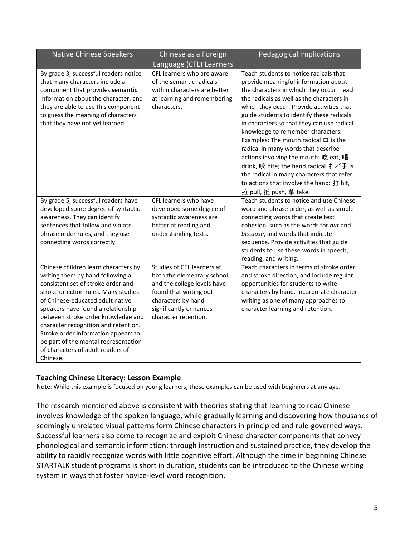| <b>Native Chinese Speakers</b>                                                                                                                                                                                                                                                                                                                                                                                                                 | Chinese as a Foreign<br>Language (CFL) Learners                                                                                                                                           | <b>Pedagogical Implications</b>                                                                                                                                                                                                                                                                                                                                                                                                                                                                                                                                                                                                                                         |
|------------------------------------------------------------------------------------------------------------------------------------------------------------------------------------------------------------------------------------------------------------------------------------------------------------------------------------------------------------------------------------------------------------------------------------------------|-------------------------------------------------------------------------------------------------------------------------------------------------------------------------------------------|-------------------------------------------------------------------------------------------------------------------------------------------------------------------------------------------------------------------------------------------------------------------------------------------------------------------------------------------------------------------------------------------------------------------------------------------------------------------------------------------------------------------------------------------------------------------------------------------------------------------------------------------------------------------------|
| By grade 3, successful readers notice<br>that many characters include a<br>component that provides semantic<br>information about the character, and<br>they are able to use this component<br>to guess the meaning of characters<br>that they have not yet learned.                                                                                                                                                                            | CFL learners who are aware<br>of the semantic radicals<br>within characters are better<br>at learning and remembering<br>characters.                                                      | Teach students to notice radicals that<br>provide meaningful information about<br>the characters in which they occur. Teach<br>the radicals as well as the characters in<br>which they occur. Provide activities that<br>guide students to identify these radicals<br>in characters so that they can use radical<br>knowledge to remember characters.<br>Examples: The mouth radical $\Box$ is the<br>radical in many words that describe<br>actions involving the mouth: 吃 eat, 喝<br>drink, 咬 bite; the hand radical $\ddagger \angle \ddagger$ is<br>the radical in many characters that refer<br>to actions that involve the hand: 打 hit,<br>拉 pull, 推 push, 拿 take. |
| By grade 5, successful readers have<br>developed some degree of syntactic<br>awareness. They can identify<br>sentences that follow and violate<br>phrase order rules, and they use<br>connecting words correctly.                                                                                                                                                                                                                              | CFL learners who have<br>developed some degree of<br>syntactic awareness are<br>better at reading and<br>understanding texts.                                                             | Teach students to notice and use Chinese<br>word and phrase order, as well as simple<br>connecting words that create text<br>cohesion, such as the words for but and<br>because, and words that indicate<br>sequence. Provide activities that guide<br>students to use these words in speech,<br>reading, and writing.                                                                                                                                                                                                                                                                                                                                                  |
| Chinese children learn characters by<br>writing them by hand following a<br>consistent set of stroke order and<br>stroke direction rules. Many studies<br>of Chinese-educated adult native<br>speakers have found a relationship<br>between stroke order knowledge and<br>character recognition and retention.<br>Stroke order information appears to<br>be part of the mental representation<br>of characters of adult readers of<br>Chinese. | Studies of CFL learners at<br>both the elementary school<br>and the college levels have<br>found that writing out<br>characters by hand<br>significantly enhances<br>character retention. | Teach characters in terms of stroke order<br>and stroke direction, and include regular<br>opportunities for students to write<br>characters by hand. Incorporate character<br>writing as one of many approaches to<br>character learning and retention.                                                                                                                                                                                                                                                                                                                                                                                                                 |

#### Teaching Chinese Literacy: Lesson Example

Note: While this example is focused on young learners, these examples can be used with beginners at any age.

The research mentioned above is consistent with theories stating that learning to read Chinese involves knowledge of the spoken language, while gradually learning and discovering how thousands of seemingly unrelated visual patterns form Chinese characters in principled and rule-governed ways. Successful learners also come to recognize and exploit Chinese character components that convey phonological and semantic information; through instruction and sustained practice, they develop the ability to rapidly recognize words with little cognitive effort. Although the time in beginning Chinese STARTALK student programs is short in duration, students can be introduced to the Chinese writing system in ways that foster novice-level word recognition.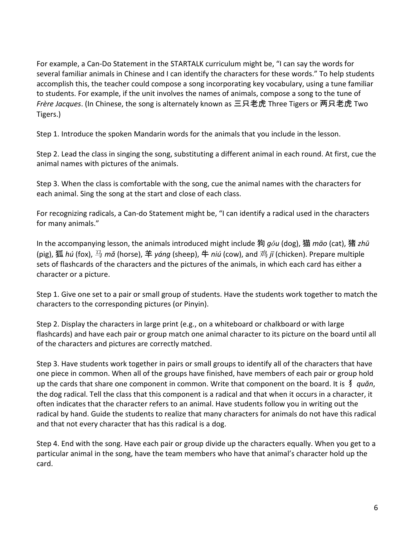For example, a Can-Do Statement in the STARTALK curriculum might be, "I can say the words for several familiar animals in Chinese and I can identify the characters for these words." To help students accomplish this, the teacher could compose a song incorporating key vocabulary, using a tune familiar to students. For example, if the unit involves the names of animals, compose a song to the tune of Frère Jacques. (In Chinese, the song is alternately known as 三只老虎 Three Tigers or 两只老虎 Two Tigers.)

Step 1. Introduce the spoken Mandarin words for the animals that you include in the lesson.

Step 2. Lead the class in singing the song, substituting a different animal in each round. At first, cue the animal names with pictures of the animals.

Step 3. When the class is comfortable with the song, cue the animal names with the characters for each animal. Sing the song at the start and close of each class.

For recognizing radicals, a Can-do Statement might be, "I can identify a radical used in the characters for many animals."

In the accompanying lesson, the animals introduced might include 狗  $q\delta u$  (dog), 猫 māo (cat), 猪 zhū (pig), 狐 hú (fox), 马 mǎ (horse), 羊 yáng (sheep), 牛 niú (cow), and 鸡 jī (chicken). Prepare multiple sets of flashcards of the characters and the pictures of the animals, in which each card has either a character or a picture.

Step 1. Give one set to a pair or small group of students. Have the students work together to match the characters to the corresponding pictures (or Pinyin).

Step 2. Display the characters in large print (e.g., on a whiteboard or chalkboard or with large flashcards) and have each pair or group match one animal character to its picture on the board until all of the characters and pictures are correctly matched.

Step 3. Have students work together in pairs or small groups to identify all of the characters that have one piece in common. When all of the groups have finished, have members of each pair or group hold up the cards that share one component in common. Write that component on the board. It is ∮ quǎn, the dog radical. Tell the class that this component is a radical and that when it occurs in a character, it often indicates that the character refers to an animal. Have students follow you in writing out the radical by hand. Guide the students to realize that many characters for animals do not have this radical and that not every character that has this radical is a dog.

Step 4. End with the song. Have each pair or group divide up the characters equally. When you get to a particular animal in the song, have the team members who have that animal's character hold up the card.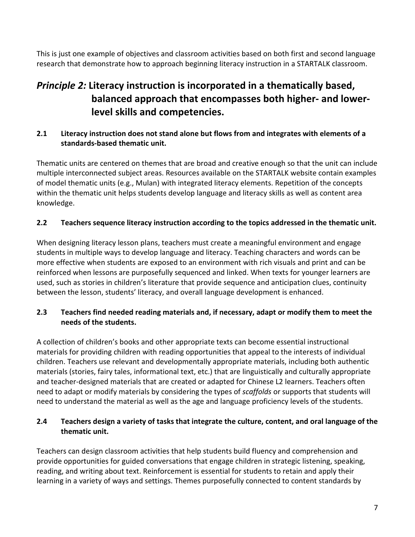This is just one example of objectives and classroom activities based on both first and second language research that demonstrate how to approach beginning literacy instruction in a STARTALK classroom.

# Principle 2: Literacy instruction is incorporated in a thematically based, balanced approach that encompasses both higher- and lowerlevel skills and competencies.

# 2.1 Literacy instruction does not stand alone but flows from and integrates with elements of a standards-based thematic unit.

Thematic units are centered on themes that are broad and creative enough so that the unit can include multiple interconnected subject areas. Resources available on the STARTALK website contain examples of model thematic units (e.g., Mulan) with integrated literacy elements. Repetition of the concepts within the thematic unit helps students develop language and literacy skills as well as content area knowledge.

# 2.2 Teachers sequence literacy instruction according to the topics addressed in the thematic unit.

When designing literacy lesson plans, teachers must create a meaningful environment and engage students in multiple ways to develop language and literacy. Teaching characters and words can be more effective when students are exposed to an environment with rich visuals and print and can be reinforced when lessons are purposefully sequenced and linked. When texts for younger learners are used, such as stories in children's literature that provide sequence and anticipation clues, continuity between the lesson, students' literacy, and overall language development is enhanced.

# 2.3 Teachers find needed reading materials and, if necessary, adapt or modify them to meet the needs of the students.

A collection of children's books and other appropriate texts can become essential instructional materials for providing children with reading opportunities that appeal to the interests of individual children. Teachers use relevant and developmentally appropriate materials, including both authentic materials (stories, fairy tales, informational text, etc.) that are linguistically and culturally appropriate and teacher-designed materials that are created or adapted for Chinese L2 learners. Teachers often need to adapt or modify materials by considering the types of scaffolds or supports that students will need to understand the material as well as the age and language proficiency levels of the students.

# 2.4 Teachers design a variety of tasks that integrate the culture, content, and oral language of the thematic unit.

Teachers can design classroom activities that help students build fluency and comprehension and provide opportunities for guided conversations that engage children in strategic listening, speaking, reading, and writing about text. Reinforcement is essential for students to retain and apply their learning in a variety of ways and settings. Themes purposefully connected to content standards by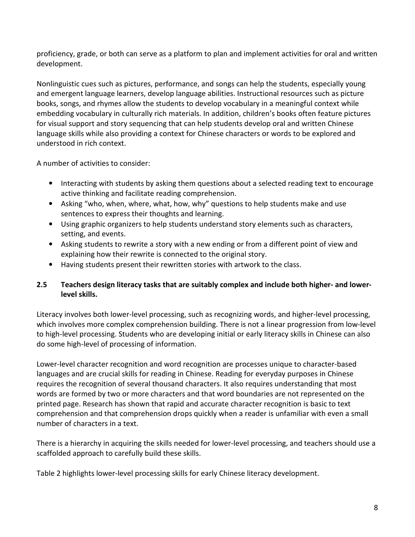proficiency, grade, or both can serve as a platform to plan and implement activities for oral and written development.

Nonlinguistic cues such as pictures, performance, and songs can help the students, especially young and emergent language learners, develop language abilities. Instructional resources such as picture books, songs, and rhymes allow the students to develop vocabulary in a meaningful context while embedding vocabulary in culturally rich materials. In addition, children's books often feature pictures for visual support and story sequencing that can help students develop oral and written Chinese language skills while also providing a context for Chinese characters or words to be explored and understood in rich context.

A number of activities to consider:

- Interacting with students by asking them questions about a selected reading text to encourage active thinking and facilitate reading comprehension.
- Asking "who, when, where, what, how, why" questions to help students make and use sentences to express their thoughts and learning.
- Using graphic organizers to help students understand story elements such as characters, setting, and events.
- Asking students to rewrite a story with a new ending or from a different point of view and explaining how their rewrite is connected to the original story.
- Having students present their rewritten stories with artwork to the class.

# 2.5 Teachers design literacy tasks that are suitably complex and include both higher- and lowerlevel skills.

Literacy involves both lower-level processing, such as recognizing words, and higher-level processing, which involves more complex comprehension building. There is not a linear progression from low-level to high-level processing. Students who are developing initial or early literacy skills in Chinese can also do some high-level of processing of information.

Lower-level character recognition and word recognition are processes unique to character-based languages and are crucial skills for reading in Chinese. Reading for everyday purposes in Chinese requires the recognition of several thousand characters. It also requires understanding that most words are formed by two or more characters and that word boundaries are not represented on the printed page. Research has shown that rapid and accurate character recognition is basic to text comprehension and that comprehension drops quickly when a reader is unfamiliar with even a small number of characters in a text.

There is a hierarchy in acquiring the skills needed for lower-level processing, and teachers should use a scaffolded approach to carefully build these skills.

Table 2 highlights lower-level processing skills for early Chinese literacy development.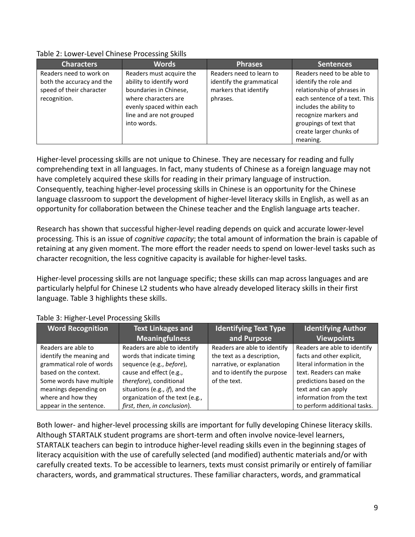| <b>Characters</b>         | <b>Words</b>              | <b>Phrases</b>           | <b>Sentences</b>              |
|---------------------------|---------------------------|--------------------------|-------------------------------|
| Readers need to work on   | Readers must acquire the  | Readers need to learn to | Readers need to be able to    |
| both the accuracy and the | ability to identify word  | identify the grammatical | identify the role and         |
| speed of their character  | boundaries in Chinese,    | markers that identify    | relationship of phrases in    |
| recognition.              | where characters are      | phrases.                 | each sentence of a text. This |
|                           | evenly spaced within each |                          | includes the ability to       |
|                           | line and are not grouped  |                          | recognize markers and         |
|                           | into words.               |                          | groupings of text that        |
|                           |                           |                          | create larger chunks of       |
|                           |                           |                          | meaning.                      |

#### Table 2: Lower-Level Chinese Processing Skills

Higher-level processing skills are not unique to Chinese. They are necessary for reading and fully comprehending text in all languages. In fact, many students of Chinese as a foreign language may not have completely acquired these skills for reading in their primary language of instruction. Consequently, teaching higher-level processing skills in Chinese is an opportunity for the Chinese language classroom to support the development of higher-level literacy skills in English, as well as an opportunity for collaboration between the Chinese teacher and the English language arts teacher.

Research has shown that successful higher-level reading depends on quick and accurate lower-level processing. This is an issue of cognitive capacity; the total amount of information the brain is capable of retaining at any given moment. The more effort the reader needs to spend on lower-level tasks such as character recognition, the less cognitive capacity is available for higher-level tasks.

Higher-level processing skills are not language specific; these skills can map across languages and are particularly helpful for Chinese L2 students who have already developed literacy skills in their first language. Table 3 highlights these skills.

| <b>Word Recognition</b>                                                                                                                                                                                     | <b>Text Linkages and</b>                                                                                                                                                                                                                          | <b>Identifying Text Type</b>                                                                                                           | <b>Identifying Author</b>                                                                                                                                                                                                        |
|-------------------------------------------------------------------------------------------------------------------------------------------------------------------------------------------------------------|---------------------------------------------------------------------------------------------------------------------------------------------------------------------------------------------------------------------------------------------------|----------------------------------------------------------------------------------------------------------------------------------------|----------------------------------------------------------------------------------------------------------------------------------------------------------------------------------------------------------------------------------|
|                                                                                                                                                                                                             | <b>Meaningfulness</b>                                                                                                                                                                                                                             | and Purpose                                                                                                                            | <b>Viewpoints</b>                                                                                                                                                                                                                |
| Readers are able to<br>identify the meaning and<br>grammatical role of words<br>based on the context.<br>Some words have multiple<br>meanings depending on<br>where and how they<br>appear in the sentence. | Readers are able to identify<br>words that indicate timing<br>sequence (e.g., before),<br>cause and effect (e.g.,<br>therefore), conditional<br>situations (e.g., if), and the<br>organization of the text (e.g.,<br>first, then, in conclusion). | Readers are able to identify<br>the text as a description,<br>narrative, or explanation<br>and to identify the purpose<br>of the text. | Readers are able to identify<br>facts and other explicit,<br>literal information in the<br>text. Readers can make<br>predictions based on the<br>text and can apply<br>information from the text<br>to perform additional tasks. |

#### Table 3: Higher-Level Processing Skills

Both lower- and higher-level processing skills are important for fully developing Chinese literacy skills. Although STARTALK student programs are short-term and often involve novice-level learners, STARTALK teachers can begin to introduce higher-level reading skills even in the beginning stages of literacy acquisition with the use of carefully selected (and modified) authentic materials and/or with carefully created texts. To be accessible to learners, texts must consist primarily or entirely of familiar characters, words, and grammatical structures. These familiar characters, words, and grammatical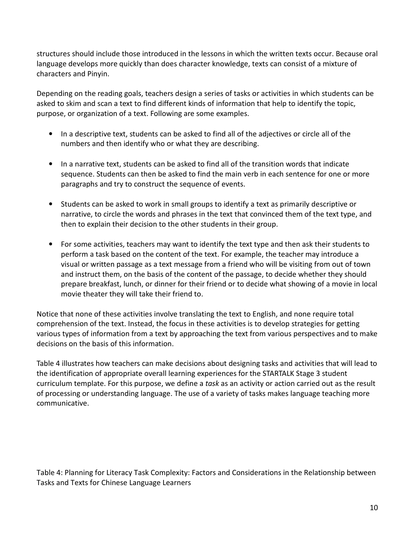structures should include those introduced in the lessons in which the written texts occur. Because oral language develops more quickly than does character knowledge, texts can consist of a mixture of characters and Pinyin.

Depending on the reading goals, teachers design a series of tasks or activities in which students can be asked to skim and scan a text to find different kinds of information that help to identify the topic, purpose, or organization of a text. Following are some examples.

- In a descriptive text, students can be asked to find all of the adjectives or circle all of the numbers and then identify who or what they are describing.
- In a narrative text, students can be asked to find all of the transition words that indicate sequence. Students can then be asked to find the main verb in each sentence for one or more paragraphs and try to construct the sequence of events.
- Students can be asked to work in small groups to identify a text as primarily descriptive or narrative, to circle the words and phrases in the text that convinced them of the text type, and then to explain their decision to the other students in their group.
- For some activities, teachers may want to identify the text type and then ask their students to perform a task based on the content of the text. For example, the teacher may introduce a visual or written passage as a text message from a friend who will be visiting from out of town and instruct them, on the basis of the content of the passage, to decide whether they should prepare breakfast, lunch, or dinner for their friend or to decide what showing of a movie in local movie theater they will take their friend to.

Notice that none of these activities involve translating the text to English, and none require total comprehension of the text. Instead, the focus in these activities is to develop strategies for getting various types of information from a text by approaching the text from various perspectives and to make decisions on the basis of this information.

Table 4 illustrates how teachers can make decisions about designing tasks and activities that will lead to the identification of appropriate overall learning experiences for the STARTALK Stage 3 student curriculum template. For this purpose, we define a task as an activity or action carried out as the result of processing or understanding language. The use of a variety of tasks makes language teaching more communicative.

Table 4: Planning for Literacy Task Complexity: Factors and Considerations in the Relationship between Tasks and Texts for Chinese Language Learners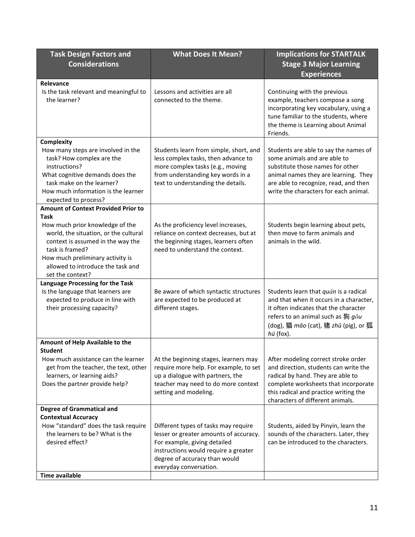| <b>Task Design Factors and</b><br><b>Considerations</b>                                                                                                                                                                                                                                                     | <b>What Does It Mean?</b>                                                                                                                                                                                         | <b>Implications for STARTALK</b><br><b>Stage 3 Major Learning</b><br><b>Experiences</b>                                                                                                                                                |
|-------------------------------------------------------------------------------------------------------------------------------------------------------------------------------------------------------------------------------------------------------------------------------------------------------------|-------------------------------------------------------------------------------------------------------------------------------------------------------------------------------------------------------------------|----------------------------------------------------------------------------------------------------------------------------------------------------------------------------------------------------------------------------------------|
| Relevance<br>Is the task relevant and meaningful to<br>the learner?                                                                                                                                                                                                                                         | Lessons and activities are all<br>connected to the theme.                                                                                                                                                         | Continuing with the previous<br>example, teachers compose a song<br>incorporating key vocabulary, using a<br>tune familiar to the students, where<br>the theme is Learning about Animal<br>Friends.                                    |
| <b>Complexity</b><br>How many steps are involved in the<br>task? How complex are the<br>instructions?<br>What cognitive demands does the<br>task make on the learner?<br>How much information is the learner                                                                                                | Students learn from simple, short, and<br>less complex tasks, then advance to<br>more complex tasks (e.g., moving<br>from understanding key words in a<br>text to understanding the details.                      | Students are able to say the names of<br>some animals and are able to<br>substitute those names for other<br>animal names they are learning. They<br>are able to recognize, read, and then<br>write the characters for each animal.    |
| expected to process?<br><b>Amount of Context Provided Prior to</b><br>Task<br>How much prior knowledge of the<br>world, the situation, or the cultural<br>context is assumed in the way the<br>task is framed?<br>How much preliminary activity is<br>allowed to introduce the task and<br>set the context? | As the proficiency level increases,<br>reliance on context decreases, but at<br>the beginning stages, learners often<br>need to understand the context.                                                           | Students begin learning about pets,<br>then move to farm animals and<br>animals in the wild.                                                                                                                                           |
| Language Processing for the Task<br>Is the language that learners are<br>expected to produce in line with<br>their processing capacity?                                                                                                                                                                     | Be aware of which syntactic structures<br>are expected to be produced at<br>different stages.                                                                                                                     | Students learn that quăn is a radical<br>and that when it occurs in a character,<br>it often indicates that the character<br>refers to an animal such as 狗 gou<br>(dog), 猫 māo (cat), 猪 zhū (pig), or 狐<br>hú (fox).                   |
| Amount of Help Available to the<br>Student<br>How much assistance can the learner<br>get from the teacher, the text, other<br>learners, or learning aids?<br>Does the partner provide help?                                                                                                                 | At the beginning stages, learners may<br>require more help. For example, to set<br>up a dialogue with partners, the<br>teacher may need to do more context<br>setting and modeling.                               | After modeling correct stroke order<br>and direction, students can write the<br>radical by hand. They are able to<br>complete worksheets that incorporate<br>this radical and practice writing the<br>characters of different animals. |
| <b>Degree of Grammatical and</b><br><b>Contextual Accuracy</b><br>How "standard" does the task require<br>the learners to be? What is the<br>desired effect?<br><b>Time available</b>                                                                                                                       | Different types of tasks may require<br>lesser or greater amounts of accuracy.<br>For example, giving detailed<br>instructions would require a greater<br>degree of accuracy than would<br>everyday conversation. | Students, aided by Pinyin, learn the<br>sounds of the characters. Later, they<br>can be introduced to the characters.                                                                                                                  |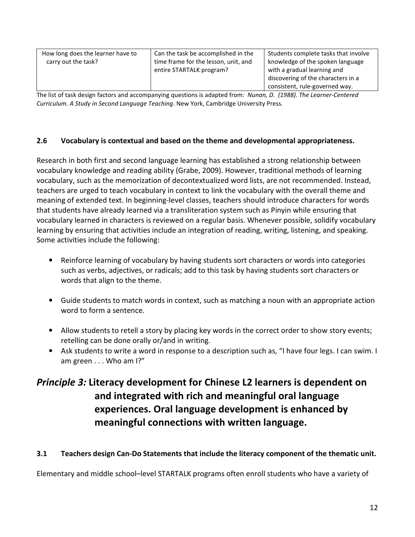| How long does the learner have to    | Students complete tasks that involve |
|--------------------------------------|--------------------------------------|
| Can the task be accomplished in the  | knowledge of the spoken language     |
| time frame for the lesson, unit, and | with a gradual learning and          |
| carry out the task?                  | discovering of the characters in a   |
| entire STARTALK program?             | consistent, rule-governed way.       |

The list of task design factors and accompanying questions is adapted from: Nunan, D. (1988). The Learner-Centered Curriculum. A Study in Second Language Teaching. New York, Cambridge University Press.

#### 2.6 Vocabulary is contextual and based on the theme and developmental appropriateness.

Research in both first and second language learning has established a strong relationship between vocabulary knowledge and reading ability (Grabe, 2009). However, traditional methods of learning vocabulary, such as the memorization of decontextualized word lists, are not recommended. Instead, teachers are urged to teach vocabulary in context to link the vocabulary with the overall theme and meaning of extended text. In beginning-level classes, teachers should introduce characters for words that students have already learned via a transliteration system such as Pinyin while ensuring that vocabulary learned in characters is reviewed on a regular basis. Whenever possible, solidify vocabulary learning by ensuring that activities include an integration of reading, writing, listening, and speaking. Some activities include the following:

- Reinforce learning of vocabulary by having students sort characters or words into categories such as verbs, adjectives, or radicals; add to this task by having students sort characters or words that align to the theme.
- Guide students to match words in context, such as matching a noun with an appropriate action word to form a sentence.
- Allow students to retell a story by placing key words in the correct order to show story events; retelling can be done orally or/and in writing.
- Ask students to write a word in response to a description such as, "I have four legs. I can swim. I am green . . . Who am I?"

# Principle 3: Literacy development for Chinese L2 learners is dependent on and integrated with rich and meaningful oral language experiences. Oral language development is enhanced by meaningful connections with written language.

#### 3.1 Teachers design Can-Do Statements that include the literacy component of the thematic unit.

Elementary and middle school–level STARTALK programs often enroll students who have a variety of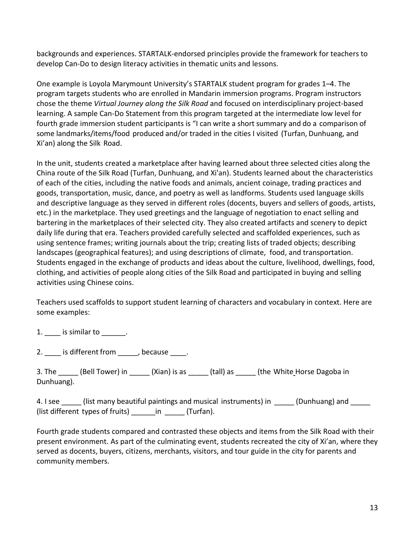backgrounds and experiences. STARTALK-endorsed principles provide the framework for teachers to develop Can-Do to design literacy activities in thematic units and lessons.

One example is Loyola Marymount University's STARTALK student program for grades 1–4. The program targets students who are enrolled in Mandarin immersion programs. Program instructors chose the theme Virtual Journey along the Silk Road and focused on interdisciplinary project-based learning. A sample Can-Do Statement from this program targeted at the intermediate low level for fourth grade immersion student participants is "I can write a short summary and do a comparison of some landmarks/items/food produced and/or traded in the cities I visited (Turfan, Dunhuang, and Xi'an) along the Silk Road.

In the unit, students created a marketplace after having learned about three selected cities along the China route of the Silk Road (Turfan, Dunhuang, and Xi'an). Students learned about the characteristics of each of the cities, including the native foods and animals, ancient coinage, trading practices and goods, transportation, music, dance, and poetry as well as landforms. Students used language skills and descriptive language as they served in different roles (docents, buyers and sellers of goods, artists, etc.) in the marketplace. They used greetings and the language of negotiation to enact selling and bartering in the marketplaces of their selected city. They also created artifacts and scenery to depict daily life during that era. Teachers provided carefully selected and scaffolded experiences, such as using sentence frames; writing journals about the trip; creating lists of traded objects; describing landscapes (geographical features); and using descriptions of climate, food, and transportation. Students engaged in the exchange of products and ideas about the culture, livelihood, dwellings, food, clothing, and activities of people along cities of the Silk Road and participated in buying and selling activities using Chinese coins.

Teachers used scaffolds to support student learning of characters and vocabulary in context. Here are some examples:

1. is similar to  $\qquad \qquad$ .

2. \_\_\_\_ is different from \_\_\_\_\_, because \_\_\_\_.

3. The \_\_\_\_\_\_ (Bell Tower) in \_\_\_\_\_\_ (Xian) is as \_\_\_\_\_\_ (tall) as \_\_\_\_\_\_ (the White Horse Dagoba in Dunhuang).

4. I see \_\_\_\_\_\_ (list many beautiful paintings and musical instruments) in \_\_\_\_\_ (Dunhuang) and \_\_\_\_\_ (list different types of fruits) \_\_\_\_\_\_in \_\_\_\_\_ (Turfan).

Fourth grade students compared and contrasted these objects and items from the Silk Road with their present environment. As part of the culminating event, students recreated the city of Xi'an, where they served as docents, buyers, citizens, merchants, visitors, and tour guide in the city for parents and community members.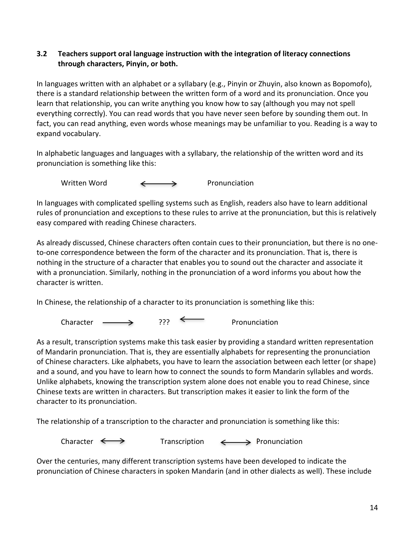### 3.2 Teachers support oral language instruction with the integration of literacy connections through characters, Pinyin, or both.

In languages written with an alphabet or a syllabary (e.g., Pinyin or Zhuyin, also known as Bopomofo), there is a standard relationship between the written form of a word and its pronunciation. Once you learn that relationship, you can write anything you know how to say (although you may not spell everything correctly). You can read words that you have never seen before by sounding them out. In fact, you can read anything, even words whose meanings may be unfamiliar to you. Reading is a way to expand vocabulary.

In alphabetic languages and languages with a syllabary, the relationship of the written word and its pronunciation is something like this:

Written Word  $\longleftrightarrow$  Pronunciation

In languages with complicated spelling systems such as English, readers also have to learn additional rules of pronunciation and exceptions to these rules to arrive at the pronunciation, but this is relatively easy compared with reading Chinese characters.

As already discussed, Chinese characters often contain cues to their pronunciation, but there is no oneto-one correspondence between the form of the character and its pronunciation. That is, there is nothing in the structure of a character that enables you to sound out the character and associate it with a pronunciation. Similarly, nothing in the pronunciation of a word informs you about how the character is written.

In Chinese, the relationship of a character to its pronunciation is something like this:

Character  $\longrightarrow$  ???  $\longleftarrow$  Pronunciation

As a result, transcription systems make this task easier by providing a standard written representation of Mandarin pronunciation. That is, they are essentially alphabets for representing the pronunciation of Chinese characters. Like alphabets, you have to learn the association between each letter (or shape) and a sound, and you have to learn how to connect the sounds to form Mandarin syllables and words. Unlike alphabets, knowing the transcription system alone does not enable you to read Chinese, since Chinese texts are written in characters. But transcription makes it easier to link the form of the character to its pronunciation.

The relationship of a transcription to the character and pronunciation is something like this:

Character  $\longleftrightarrow$  Transcription  $\longleftrightarrow$  Pronunciation

Over the centuries, many different transcription systems have been developed to indicate the pronunciation of Chinese characters in spoken Mandarin (and in other dialects as well). These include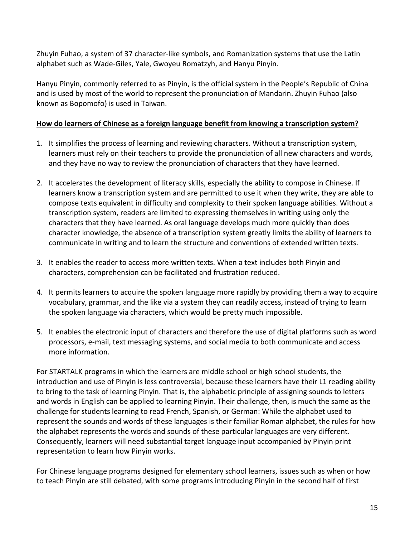Zhuyin Fuhao, a system of 37 character-like symbols, and Romanization systems that use the Latin alphabet such as Wade-Giles, Yale, Gwoyeu Romatzyh, and Hanyu Pinyin.

Hanyu Pinyin, commonly referred to as Pinyin, is the official system in the People's Republic of China and is used by most of the world to represent the pronunciation of Mandarin. Zhuyin Fuhao (also known as Bopomofo) is used in Taiwan.

### How do learners of Chinese as a foreign language benefit from knowing a transcription system?

- 1. It simplifies the process of learning and reviewing characters. Without a transcription system, learners must rely on their teachers to provide the pronunciation of all new characters and words, and they have no way to review the pronunciation of characters that they have learned.
- 2. It accelerates the development of literacy skills, especially the ability to compose in Chinese. If learners know a transcription system and are permitted to use it when they write, they are able to compose texts equivalent in difficulty and complexity to their spoken language abilities. Without a transcription system, readers are limited to expressing themselves in writing using only the characters that they have learned. As oral language develops much more quickly than does character knowledge, the absence of a transcription system greatly limits the ability of learners to communicate in writing and to learn the structure and conventions of extended written texts.
- 3. It enables the reader to access more written texts. When a text includes both Pinyin and characters, comprehension can be facilitated and frustration reduced.
- 4. It permits learners to acquire the spoken language more rapidly by providing them a way to acquire vocabulary, grammar, and the like via a system they can readily access, instead of trying to learn the spoken language via characters, which would be pretty much impossible.
- 5. It enables the electronic input of characters and therefore the use of digital platforms such as word processors, e-mail, text messaging systems, and social media to both communicate and access more information.

For STARTALK programs in which the learners are middle school or high school students, the introduction and use of Pinyin is less controversial, because these learners have their L1 reading ability to bring to the task of learning Pinyin. That is, the alphabetic principle of assigning sounds to letters and words in English can be applied to learning Pinyin. Their challenge, then, is much the same as the challenge for students learning to read French, Spanish, or German: While the alphabet used to represent the sounds and words of these languages is their familiar Roman alphabet, the rules for how the alphabet represents the words and sounds of these particular languages are very different. Consequently, learners will need substantial target language input accompanied by Pinyin print representation to learn how Pinyin works.

For Chinese language programs designed for elementary school learners, issues such as when or how to teach Pinyin are still debated, with some programs introducing Pinyin in the second half of first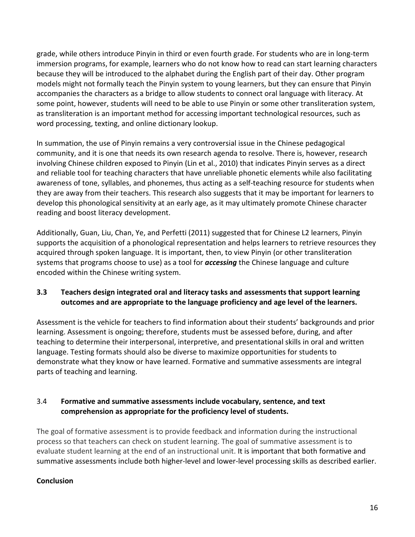grade, while others introduce Pinyin in third or even fourth grade. For students who are in long-term immersion programs, for example, learners who do not know how to read can start learning characters because they will be introduced to the alphabet during the English part of their day. Other program models might not formally teach the Pinyin system to young learners, but they can ensure that Pinyin accompanies the characters as a bridge to allow students to connect oral language with literacy. At some point, however, students will need to be able to use Pinyin or some other transliteration system, as transliteration is an important method for accessing important technological resources, such as word processing, texting, and online dictionary lookup.

In summation, the use of Pinyin remains a very controversial issue in the Chinese pedagogical community, and it is one that needs its own research agenda to resolve. There is, however, research involving Chinese children exposed to Pinyin (Lin et al., 2010) that indicates Pinyin serves as a direct and reliable tool for teaching characters that have unreliable phonetic elements while also facilitating awareness of tone, syllables, and phonemes, thus acting as a self-teaching resource for students when they are away from their teachers. This research also suggests that it may be important for learners to develop this phonological sensitivity at an early age, as it may ultimately promote Chinese character reading and boost literacy development.

Additionally, Guan, Liu, Chan, Ye, and Perfetti (2011) suggested that for Chinese L2 learners, Pinyin supports the acquisition of a phonological representation and helps learners to retrieve resources they acquired through spoken language. It is important, then, to view Pinyin (or other transliteration systems that programs choose to use) as a tool for **accessing** the Chinese language and culture encoded within the Chinese writing system.

# 3.3 Teachers design integrated oral and literacy tasks and assessments that support learning outcomes and are appropriate to the language proficiency and age level of the learners.

Assessment is the vehicle for teachers to find information about their students' backgrounds and prior learning. Assessment is ongoing; therefore, students must be assessed before, during, and after teaching to determine their interpersonal, interpretive, and presentational skills in oral and written language. Testing formats should also be diverse to maximize opportunities for students to demonstrate what they know or have learned. Formative and summative assessments are integral parts of teaching and learning.

### 3.4 Formative and summative assessments include vocabulary, sentence, and text comprehension as appropriate for the proficiency level of students.

The goal of formative assessment is to provide feedback and information during the instructional process so that teachers can check on student learning. The goal of summative assessment is to evaluate student learning at the end of an instructional unit. It is important that both formative and summative assessments include both higher-level and lower-level processing skills as described earlier.

# **Conclusion**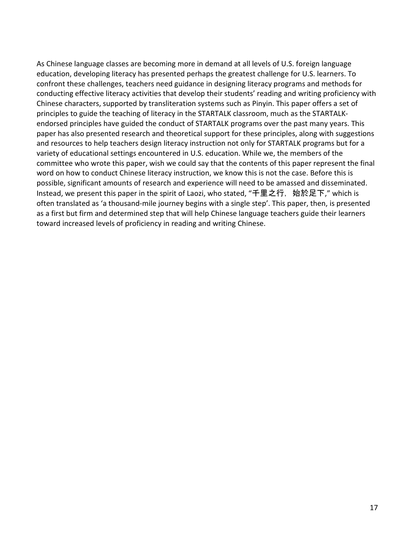As Chinese language classes are becoming more in demand at all levels of U.S. foreign language education, developing literacy has presented perhaps the greatest challenge for U.S. learners. To confront these challenges, teachers need guidance in designing literacy programs and methods for conducting effective literacy activities that develop their students' reading and writing proficiency with Chinese characters, supported by transliteration systems such as Pinyin. This paper offers a set of principles to guide the teaching of literacy in the STARTALK classroom, much as the STARTALKendorsed principles have guided the conduct of STARTALK programs over the past many years. This paper has also presented research and theoretical support for these principles, along with suggestions and resources to help teachers design literacy instruction not only for STARTALK programs but for a variety of educational settings encountered in U.S. education. While we, the members of the committee who wrote this paper, wish we could say that the contents of this paper represent the final word on how to conduct Chinese literacy instruction, we know this is not the case. Before this is possible, significant amounts of research and experience will need to be amassed and disseminated. Instead, we present this paper in the spirit of Laozi, who stated, "千里之行, 始於足下," which is often translated as 'a thousand-mile journey begins with a single step'. This paper, then, is presented as a first but firm and determined step that will help Chinese language teachers guide their learners toward increased levels of proficiency in reading and writing Chinese.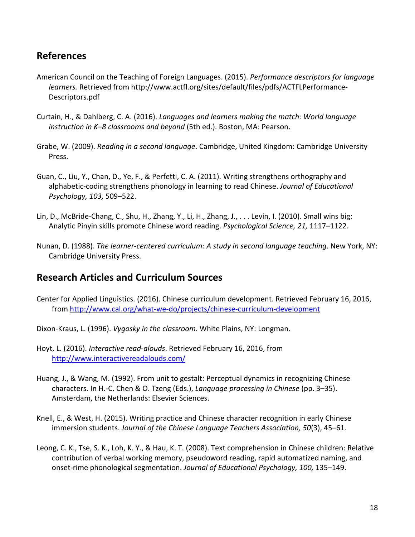# References

- American Council on the Teaching of Foreign Languages. (2015). Performance descriptors for language learners. Retrieved from http://www.actfl.org/sites/default/files/pdfs/ACTFLPerformance-Descriptors.pdf
- Curtain, H., & Dahlberg, C. A. (2016). Languages and learners making the match: World language instruction in K–8 classrooms and beyond (5th ed.). Boston, MA: Pearson.
- Grabe, W. (2009). Reading in a second language. Cambridge, United Kingdom: Cambridge University Press.
- Guan, C., Liu, Y., Chan, D., Ye, F., & Perfetti, C. A. (2011). Writing strengthens orthography and alphabetic-coding strengthens phonology in learning to read Chinese. Journal of Educational Psychology, 103, 509–522.
- Lin, D., McBride-Chang, C., Shu, H., Zhang, Y., Li, H., Zhang, J., . . . Levin, I. (2010). Small wins big: Analytic Pinyin skills promote Chinese word reading. Psychological Science, 21, 1117–1122.
- Nunan, D. (1988). The learner-centered curriculum: A study in second language teaching. New York, NY: Cambridge University Press.

# Research Articles and Curriculum Sources

- Center for Applied Linguistics. (2016). Chinese curriculum development. Retrieved February 16, 2016, from http://www.cal.org/what-we-do/projects/chinese-curriculum-development
- Dixon-Kraus, L. (1996). Vygosky in the classroom. White Plains, NY: Longman.
- Hoyt, L. (2016). Interactive read-alouds. Retrieved February 16, 2016, from http://www.interactivereadalouds.com/
- Huang, J., & Wang, M. (1992). From unit to gestalt: Perceptual dynamics in recognizing Chinese characters. In H.-C. Chen & O. Tzeng (Eds.), Language processing in Chinese (pp. 3–35). Amsterdam, the Netherlands: Elsevier Sciences.
- Knell, E., & West, H. (2015). Writing practice and Chinese character recognition in early Chinese immersion students. Journal of the Chinese Language Teachers Association, 50(3), 45–61.
- Leong, C. K., Tse, S. K., Loh, K. Y., & Hau, K. T. (2008). Text comprehension in Chinese children: Relative contribution of verbal working memory, pseudoword reading, rapid automatized naming, and onset-rime phonological segmentation. Journal of Educational Psychology, 100, 135–149.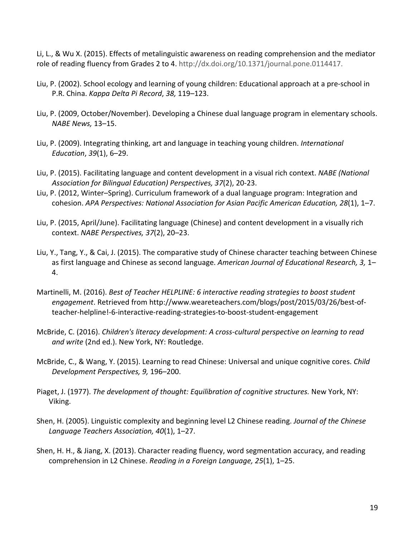Li, L., & Wu X. (2015). Effects of metalinguistic awareness on reading comprehension and the mediator role of reading fluency from Grades 2 to 4. http://dx.doi.org/10.1371/journal.pone.0114417.

- Liu, P. (2002). School ecology and learning of young children: Educational approach at a pre-school in P.R. China. Kappa Delta Pi Record, 38, 119–123.
- Liu, P. (2009, October/November). Developing a Chinese dual language program in elementary schools. NABE News, 13–15.
- Liu, P. (2009). Integrating thinking, art and language in teaching young children. International Education, 39(1), 6–29.
- Liu, P. (2015). Facilitating language and content development in a visual rich context. NABE (National Association for Bilingual Education) Perspectives, 37(2), 20-23.
- Liu, P. (2012, Winter–Spring). Curriculum framework of a dual language program: Integration and cohesion. APA Perspectives: National Association for Asian Pacific American Education, 28(1), 1–7.
- Liu, P. (2015, April/June). Facilitating language (Chinese) and content development in a visually rich context. NABE Perspectives, 37(2), 20–23.
- Liu, Y., Tang, Y., & Cai, J. (2015). The comparative study of Chinese character teaching between Chinese as first language and Chinese as second language. American Journal of Educational Research, 3, 1-4.
- Martinelli, M. (2016). Best of Teacher HELPLINE: 6 interactive reading strategies to boost student engagement. Retrieved from http://www.weareteachers.com/blogs/post/2015/03/26/best-ofteacher-helpline!-6-interactive-reading-strategies-to-boost-student-engagement
- McBride, C. (2016). Children's literacy development: A cross-cultural perspective on learning to read and write (2nd ed.). New York, NY: Routledge.
- McBride, C., & Wang, Y. (2015). Learning to read Chinese: Universal and unique cognitive cores. Child Development Perspectives, 9, 196–200.
- Piaget, J. (1977). The development of thought: Equilibration of cognitive structures. New York, NY: Viking.
- Shen, H. (2005). Linguistic complexity and beginning level L2 Chinese reading. Journal of the Chinese Language Teachers Association, 40(1), 1–27.
- Shen, H. H., & Jiang, X. (2013). Character reading fluency, word segmentation accuracy, and reading comprehension in L2 Chinese. Reading in a Foreign Language, 25(1), 1–25.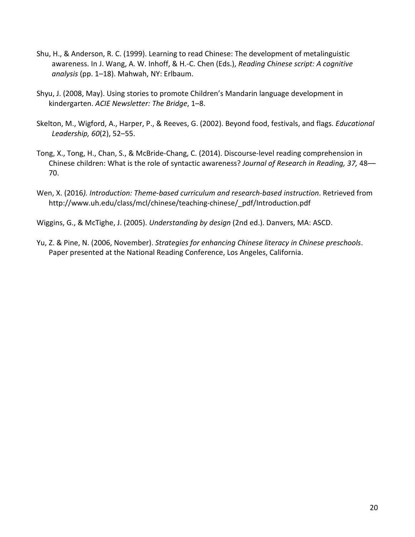- Shu, H., & Anderson, R. C. (1999). Learning to read Chinese: The development of metalinguistic awareness. In J. Wang, A. W. Inhoff, & H.-C. Chen (Eds.), Reading Chinese script: A cognitive analysis (pp. 1–18). Mahwah, NY: Erlbaum.
- Shyu, J. (2008, May). Using stories to promote Children's Mandarin language development in kindergarten. ACIE Newsletter: The Bridge, 1–8.
- Skelton, M., Wigford, A., Harper, P., & Reeves, G. (2002). Beyond food, festivals, and flags. Educational Leadership, 60(2), 52–55.
- Tong, X., Tong, H., Chan, S., & McBride-Chang, C. (2014). Discourse-level reading comprehension in Chinese children: What is the role of syntactic awareness? Journal of Research in Reading, 37, 48–– 70.
- Wen, X. (2016). Introduction: Theme-based curriculum and research-based instruction. Retrieved from http://www.uh.edu/class/mcl/chinese/teaching-chinese/\_pdf/Introduction.pdf
- Wiggins, G., & McTighe, J. (2005). Understanding by design (2nd ed.). Danvers, MA: ASCD.
- Yu, Z. & Pine, N. (2006, November). Strategies for enhancing Chinese literacy in Chinese preschools. Paper presented at the National Reading Conference, Los Angeles, California.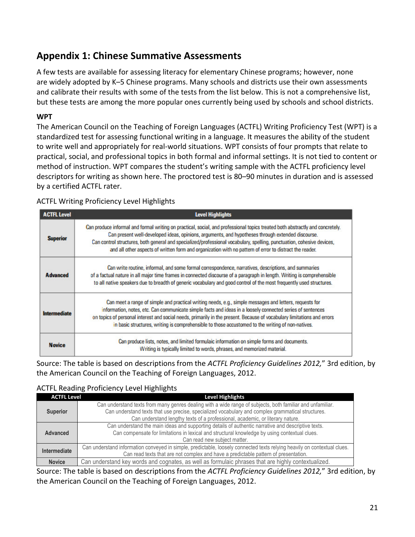# Appendix 1: Chinese Summative Assessments

A few tests are available for assessing literacy for elementary Chinese programs; however, none are widely adopted by K–5 Chinese programs. Many schools and districts use their own assessments and calibrate their results with some of the tests from the list below. This is not a comprehensive list, but these tests are among the more popular ones currently being used by schools and school districts.

### **WPT**

The American Council on the Teaching of Foreign Languages (ACTFL) Writing Proficiency Test (WPT) is a standardized test for assessing functional writing in a language. It measures the ability of the student to write well and appropriately for real-world situations. WPT consists of four prompts that relate to practical, social, and professional topics in both formal and informal settings. It is not tied to content or method of instruction. WPT compares the student's writing sample with the ACTFL proficiency level descriptors for writing as shown here. The proctored test is 80–90 minutes in duration and is assessed by a certified ACTFL rater.

# ACTFL Writing Proficiency Level Highlights

| <b>ACTFL Level</b>  | <b>Level Highlights</b>                                                                                                                                                                                                                                                                                                                                                                                                                                                 |
|---------------------|-------------------------------------------------------------------------------------------------------------------------------------------------------------------------------------------------------------------------------------------------------------------------------------------------------------------------------------------------------------------------------------------------------------------------------------------------------------------------|
| <b>Superior</b>     | Can produce informal and formal writing on practical, social, and professional topics treated both abstractly and concretely.<br>Can present well-developed ideas, opinions, arguments, and hypotheses through extended discourse.<br>Can control structures, both general and specialized/professional vocabulary, spelling, punctuation, cohesive devices,<br>and all other aspects of written form and organization with no pattern of error to distract the reader. |
| <b>Advanced</b>     | Can write routine, informal, and some formal correspondence, narratives, descriptions, and summaries<br>of a factual nature in all major time frames in connected discourse of a paragraph in length. Writing is comprehensible<br>to all native speakers due to breadth of generic vocabulary and good control of the most frequently used structures.                                                                                                                 |
| <b>Intermediate</b> | Can meet a range of simple and practical writing needs, e.g., simple messages and letters, requests for<br>information, notes, etc. Can communicate simple facts and ideas in a loosely connected series of sentences<br>on topics of personal interest and social needs, primarily in the present. Because of vocabulary limitations and errors<br>in basic structures, writing is comprehensible to those accustomed to the writing of non-natives.                   |
| <b>Novice</b>       | Can produce lists, notes, and limited formulaic information on simple forms and documents.<br>Writing is typically limited to words, phrases, and memorized material.                                                                                                                                                                                                                                                                                                   |

Source: The table is based on descriptions from the ACTFL Proficiency Guidelines 2012," 3rd edition, by the American Council on the Teaching of Foreign Languages, 2012.

# ACTFL Reading Proficiency Level Highlights

| <b>ACTFL Level</b>                                                                                                                                                                                                                                                                                                  | <b>Level Highlights</b> |
|---------------------------------------------------------------------------------------------------------------------------------------------------------------------------------------------------------------------------------------------------------------------------------------------------------------------|-------------------------|
| Can understand texts from many genres dealing with a wide range of subjects, both familiar and unfamiliar.<br>Can understand texts that use precise, specialized vocabulary and complex grammatical structures.<br><b>Superior</b><br>Can understand lengthy texts of a professional, academic, or literary nature. |                         |
| Can understand the main ideas and supporting details of authentic narrative and descriptive texts.<br>Can compensate for limitations in lexical and structural knowledge by using contextual clues.<br>Advanced<br>Can read new subject matter.                                                                     |                         |
| Can understand information conveyed in simple, predictable, loosely connected texts relying heavily on contextual clues.<br>Intermediate<br>Can read texts that are not complex and have a predictable pattern of presentation.                                                                                     |                         |
| Can understand key words and cognates, as well as formulaic phrases that are highly contextualized.<br><b>Novice</b>                                                                                                                                                                                                |                         |

Source: The table is based on descriptions from the ACTFL Proficiency Guidelines 2012," 3rd edition, by the American Council on the Teaching of Foreign Languages, 2012.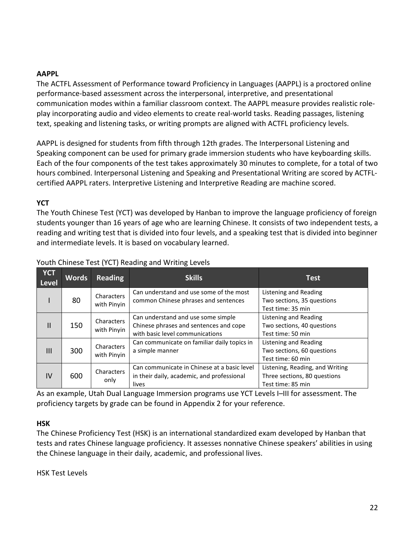#### AAPPL

The ACTFL Assessment of Performance toward Proficiency in Languages (AAPPL) is a proctored online performance-based assessment across the interpersonal, interpretive, and presentational communication modes within a familiar classroom context. The AAPPL measure provides realistic roleplay incorporating audio and video elements to create real-world tasks. Reading passages, listening text, speaking and listening tasks, or writing prompts are aligned with ACTFL proficiency levels.

AAPPL is designed for students from fifth through 12th grades. The Interpersonal Listening and Speaking component can be used for primary grade immersion students who have keyboarding skills. Each of the four components of the test takes approximately 30 minutes to complete, for a total of two hours combined. Interpersonal Listening and Speaking and Presentational Writing are scored by ACTFLcertified AAPPL raters. Interpretive Listening and Interpretive Reading are machine scored.

#### **YCT**

The Youth Chinese Test (YCT) was developed by Hanban to improve the language proficiency of foreign students younger than 16 years of age who are learning Chinese. It consists of two independent tests, a reading and writing test that is divided into four levels, and a speaking test that is divided into beginner and intermediate levels. It is based on vocabulary learned.

| <b>YCT</b><br><b>Level</b> | <b>Words</b>                                        | <b>Reading</b>            | <b>Skills</b>                                                                                                   | <b>Test</b>                                                                          |
|----------------------------|-----------------------------------------------------|---------------------------|-----------------------------------------------------------------------------------------------------------------|--------------------------------------------------------------------------------------|
|                            | 80                                                  | Characters<br>with Pinyin | Can understand and use some of the most<br>common Chinese phrases and sentences                                 | Listening and Reading<br>Two sections, 35 questions<br>Test time: 35 min             |
| $\mathbf{H}$               | 150                                                 | Characters<br>with Pinyin | Can understand and use some simple<br>Chinese phrases and sentences and cope<br>with basic level communications | Listening and Reading<br>Two sections, 40 questions<br>Test time: 50 min             |
| III                        | Characters<br>300<br>a simple manner<br>with Pinyin |                           | Can communicate on familiar daily topics in                                                                     | Listening and Reading<br>Two sections, 60 questions<br>Test time: 60 min             |
| IV                         | 600                                                 | Characters<br>only        | Can communicate in Chinese at a basic level<br>in their daily, academic, and professional<br>lives              | Listening, Reading, and Writing<br>Three sections, 80 questions<br>Test time: 85 min |

#### Youth Chinese Test (YCT) Reading and Writing Levels

As an example, Utah Dual Language Immersion programs use YCT Levels I–III for assessment. The proficiency targets by grade can be found in Appendix 2 for your reference.

#### HSK

The Chinese Proficiency Test (HSK) is an international standardized exam developed by Hanban that tests and rates Chinese language proficiency. It assesses nonnative Chinese speakers' abilities in using the Chinese language in their daily, academic, and professional lives.

HSK Test Levels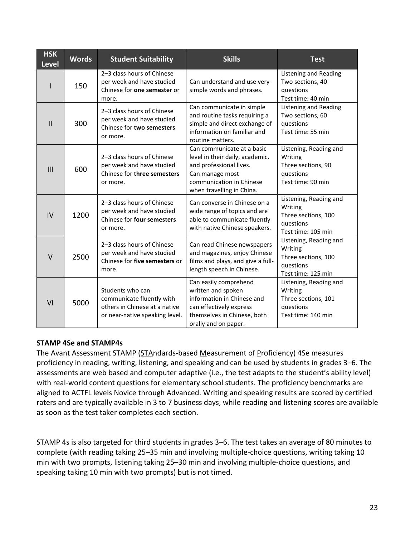| <b>HSK</b><br><b>Level</b> | <b>Words</b> | <b>Student Suitability</b>                                                                                       | <b>Skills</b>                                                                                                                                                        | <b>Test</b>                                                                                 |
|----------------------------|--------------|------------------------------------------------------------------------------------------------------------------|----------------------------------------------------------------------------------------------------------------------------------------------------------------------|---------------------------------------------------------------------------------------------|
|                            | 150          | 2-3 class hours of Chinese<br>per week and have studied<br>Chinese for one semester or<br>more.                  | Can understand and use very<br>simple words and phrases.                                                                                                             | <b>Listening and Reading</b><br>Two sections, 40<br>questions<br>Test time: 40 min          |
| $\mathbf{II}$              | 300          | 2-3 class hours of Chinese<br>per week and have studied<br>Chinese for two semesters<br>or more.                 | Can communicate in simple<br>and routine tasks requiring a<br>simple and direct exchange of<br>information on familiar and<br>routine matters.                       | <b>Listening and Reading</b><br>Two sections, 60<br>questions<br>Test time: 55 min          |
| III                        | 600          | 2-3 class hours of Chinese<br>per week and have studied<br>Chinese for three semesters<br>or more.               | Can communicate at a basic<br>level in their daily, academic,<br>and professional lives.<br>Can manage most<br>communication in Chinese<br>when travelling in China. | Listening, Reading and<br>Writing<br>Three sections, 90<br>questions<br>Test time: 90 min   |
| IV                         | 1200         | 2-3 class hours of Chinese<br>per week and have studied<br>Chinese for four semesters<br>or more.                | Can converse in Chinese on a<br>wide range of topics and are<br>able to communicate fluently<br>with native Chinese speakers.                                        | Listening, Reading and<br>Writing<br>Three sections, 100<br>questions<br>Test time: 105 min |
| $\vee$                     | 2500         | 2-3 class hours of Chinese<br>per week and have studied<br>Chinese for five semesters or<br>more.                | Can read Chinese newspapers<br>and magazines, enjoy Chinese<br>films and plays, and give a full-<br>length speech in Chinese.                                        | Listening, Reading and<br>Writing<br>Three sections, 100<br>questions<br>Test time: 125 min |
| VI                         | 5000         | Students who can<br>communicate fluently with<br>others in Chinese at a native<br>or near-native speaking level. | Can easily comprehend<br>written and spoken<br>information in Chinese and<br>can effectively express<br>themselves in Chinese, both<br>orally and on paper.          | Listening, Reading and<br>Writing<br>Three sections, 101<br>questions<br>Test time: 140 min |

#### STAMP 4Se and STAMP4s

The Avant Assessment STAMP (STAndards-based Measurement of Proficiency) 4Se measures proficiency in reading, writing, listening, and speaking and can be used by students in grades 3–6. The assessments are web based and computer adaptive (i.e., the test adapts to the student's ability level) with real-world content questions for elementary school students. The proficiency benchmarks are aligned to ACTFL levels Novice through Advanced. Writing and speaking results are scored by certified raters and are typically available in 3 to 7 business days, while reading and listening scores are available as soon as the test taker completes each section.

STAMP 4s is also targeted for third students in grades 3–6. The test takes an average of 80 minutes to complete (with reading taking 25–35 min and involving multiple-choice questions, writing taking 10 min with two prompts, listening taking 25–30 min and involving multiple-choice questions, and speaking taking 10 min with two prompts) but is not timed.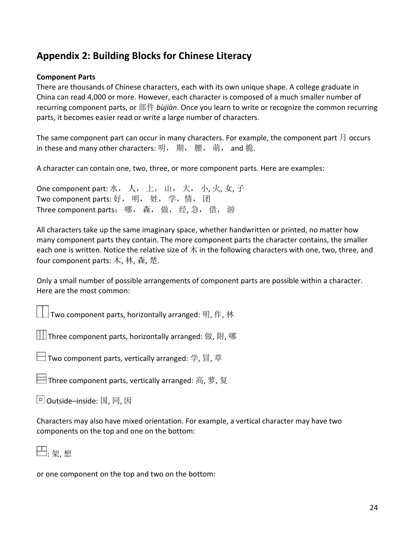# Appendix 2: Building Blocks for Chinese Literacy

#### Component Parts

There are thousands of Chinese characters, each with its own unique shape. A college graduate in China can read 4,000 or more. However, each character is composed of a much smaller number of recurring component parts, or 部件 bùjiàn. Once you learn to write or recognize the common recurring parts, it becomes easier read or write a large number of characters.

The same component part can occur in many characters. For example, the component part  $\beta$  occurs in these and many other characters: 明, 期, 腰, 萌, and 脆.

A character can contain one, two, three, or more component parts. Here are examples:

One component part: 水, 人, 上, 山, 大, 小, 火, 女, 子 Two component parts: 好, 明, 姓, 学,情, 团 Three component parts: 哪, 森, 做, 经, 急, 借, 游

All characters take up the same imaginary space, whether handwritten or printed, no matter how many component parts they contain. The more component parts the character contains, the smaller each one is written. Notice the relative size of  $\pi$  in the following characters with one, two, three, and four component parts: 木, 林, 森, 楚.

Only a small number of possible arrangements of component parts are possible within a character. Here are the most common:

 $\Box$  Two component parts, horizontally arranged: 明, 作, 林

 $\Box$  Three component parts, horizontally arranged: 做, 附, 哪

 $\Box$  Two component parts, vertically arranged: 学, 冒, 草

Three component parts, vertically arranged: 高, 萝, 复

Outside–inside: 国, 同, 因

Characters may also have mixed orientation. For example, a vertical character may have two components on the top and one on the bottom:



or one component on the top and two on the bottom: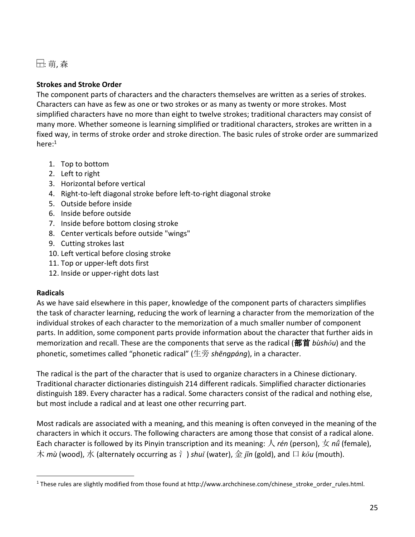: 萌, 森

### Strokes and Stroke Order

The component parts of characters and the characters themselves are written as a series of strokes. Characters can have as few as one or two strokes or as many as twenty or more strokes. Most simplified characters have no more than eight to twelve strokes; traditional characters may consist of many more. Whether someone is learning simplified or traditional characters, strokes are written in a fixed way, in terms of stroke order and stroke direction. The basic rules of stroke order are summarized here: $1$ 

- 1. Top to bottom
- 2. Left to right
- 3. Horizontal before vertical
- 4. Right-to-left diagonal stroke before left-to-right diagonal stroke
- 5. Outside before inside
- 6. Inside before outside
- 7. Inside before bottom closing stroke
- 8. Center verticals before outside "wings"
- 9. Cutting strokes last
- 10. Left vertical before closing stroke
- 11. Top or upper-left dots first
- 12. Inside or upper-right dots last

#### Radicals

 $\overline{a}$ 

As we have said elsewhere in this paper, knowledge of the component parts of characters simplifies the task of character learning, reducing the work of learning a character from the memorization of the individual strokes of each character to the memorization of a much smaller number of component parts. In addition, some component parts provide information about the character that further aids in memorization and recall. These are the components that serve as the radical (部首 bùshǒu) and the phonetic, sometimes called "phonetic radical" (生旁 shēngpáng), in a character.

The radical is the part of the character that is used to organize characters in a Chinese dictionary. Traditional character dictionaries distinguish 214 different radicals. Simplified character dictionaries distinguish 189. Every character has a radical. Some characters consist of the radical and nothing else, but most include a radical and at least one other recurring part.

Most radicals are associated with a meaning, and this meaning is often conveyed in the meaning of the characters in which it occurs. The following characters are among those that consist of a radical alone. Each character is followed by its Pinyin transcription and its meaning:  $\wedge$  rén (person),  $\#$  n $\check{u}$  (female), 木 mù (wood), 水 (alternately occurring as  $\gamma$ ) shuǐ (water), 金 jīn (gold), and  $\Box$  kǒu (mouth).

<sup>&</sup>lt;sup>1</sup> These rules are slightly modified from those found at http://www.archchinese.com/chinese\_stroke\_order\_rules.html.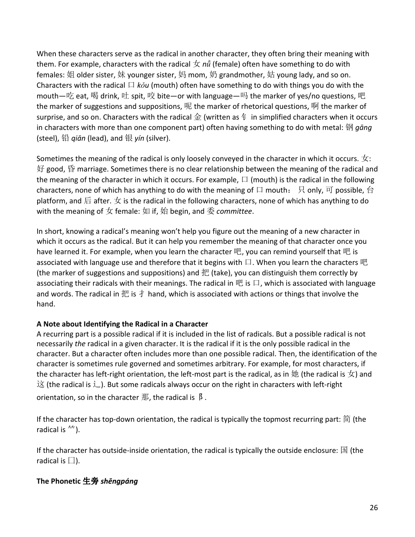When these characters serve as the radical in another character, they often bring their meaning with them. For example, characters with the radical  $\pm n\ddot{u}$  (female) often have something to do with females: 姐 older sister, 妹 younger sister, 妈 mom, 奶 grandmother, 姑 young lady, and so on. Characters with the radical  $\Box$  kou (mouth) often have something to do with things you do with the mouth—吃 eat, 喝 drink, 吐 spit, 咬 bite—or with language—吗 the marker of yes/no questions, 吧 the marker of suggestions and suppositions, 呢 the marker of rhetorical questions, 啊 the marker of surprise, and so on. Characters with the radical  $\hat{\pm}$  (written as  $\hat{\pm}$  in simplified characters when it occurs in characters with more than one component part) often having something to do with metal: 钢  $g\bar{a}ng$ (steel), 铅  $q$ *iān* (lead), and 银  $y$ *in* (silver).

Sometimes the meaning of the radical is only loosely conveyed in the character in which it occurs.  $\pm$ : 好 good, 昏 marriage. Sometimes there is no clear relationship between the meaning of the radical and the meaning of the character in which it occurs. For example,  $\Box$  (mouth) is the radical in the following characters, none of which has anything to do with the meaning of 口 mouth: 只 only, 可 possible, 台 platform, and 后 after.  $\chi$  is the radical in the following characters, none of which has anything to do with the meaning of  $\pm$  female:  $\text{Im }$  if, 始 begin, and 委 committee.

In short, knowing a radical's meaning won't help you figure out the meaning of a new character in which it occurs as the radical. But it can help you remember the meaning of that character once you have learned it. For example, when you learn the character 吧, you can remind yourself that 吧 is associated with language use and therefore that it begins with  $\Box$ . When you learn the characters 吧 (the marker of suggestions and suppositions) and 把 (take), you can distinguish them correctly by associating their radicals with their meanings. The radical in 吧 is 口, which is associated with language and words. The radical in 把 is  $\ddagger$  hand, which is associated with actions or things that involve the hand.

# A Note about Identifying the Radical in a Character

A recurring part is a possible radical if it is included in the list of radicals. But a possible radical is not necessarily the radical in a given character. It is the radical if it is the only possible radical in the character. But a character often includes more than one possible radical. Then, the identification of the character is sometimes rule governed and sometimes arbitrary. For example, for most characters, if the character has left-right orientation, the left-most part is the radical, as in  $\#$  (the radical is  $\pm$ ) and 这 (the radical is 辶). But some radicals always occur on the right in characters with left-right orientation, so in the character  $\mathbb H$ , the radical is  $\beta$ .

If the character has top-down orientation, the radical is typically the topmost recurring part: 简 (the radical is  $\overleftrightarrow{ }$ ).

If the character has outside-inside orientation, the radical is typically the outside enclosure:  $\mathbb{E}$  (the radical is  $\square$ ).

# The Phonetic 生旁 shēngpáng